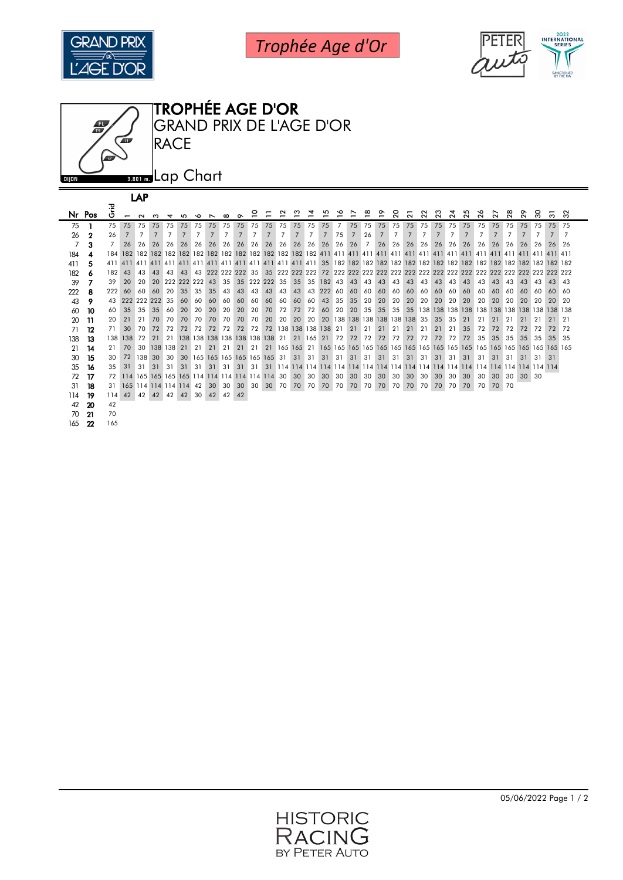

Trophée Age d'Or





|                | Nr Pos | ō<br>ပ |                                                | $\sim$ | ო          | $\overline{a}$ | m.                | ∿ດ              | $\overline{\phantom{0}}$ | $\infty$        |       |                |               | ິ              | ო                        |                | ທ      | ∾  |     |             | $\overline{ }$                                                | ຊ               | $\overline{N}$ | ನ              | ನಿ    | $\mathbb{Z}$   | $\mathbb{Z}^5$    | $\frac{8}{2}$ | $\overline{z}$ | ឌ              | $\mathbf{5}^{\circ}$ | င္က | ო               | $\infty$        |
|----------------|--------|--------|------------------------------------------------|--------|------------|----------------|-------------------|-----------------|--------------------------|-----------------|-------|----------------|---------------|----------------|--------------------------|----------------|--------|----|-----|-------------|---------------------------------------------------------------|-----------------|----------------|----------------|-------|----------------|-------------------|---------------|----------------|----------------|----------------------|-----|-----------------|-----------------|
| 75             |        | 75     | 75                                             | 75     | 75         | 75             | 75                |                 | 75 75                    |                 | 75 75 | 75             | 75            | 75             | 75                       | 75             | 75     |    | 75  | 75          | 75                                                            |                 |                |                |       |                | 75 75 75 75 75 75 | 75            | 75             | 75             | 75                   | 75  | 75 75           |                 |
| 26             |        | 26     |                                                |        |            |                | 7                 |                 | 7                        | $\overline{7}$  | 7     | $\overline{7}$ | 7             | $\overline{7}$ | 7                        | $\overline{7}$ | 7      | 75 | 7   | 26          | 7                                                             | $\overline{7}$  | 7              | $\overline{7}$ | 7     | $\overline{7}$ | 7                 | $7^{\circ}$   | $\overline{7}$ | $\overline{7}$ | $\overline{7}$       | 7   | $\overline{7}$  | 7               |
| $\overline{7}$ | 3      |        | 26                                             | 26     | 26         | 26             | 26                | 26              | 26                       | 26              | 26    | 26             | 26            | 26             | 26                       | 26             | 26     | 26 | 26  | $7^{\circ}$ | 26                                                            | 26              | 26             | 26             | 26    | 26             | 26                | 26            | 26             | 26             | 26                   | 26  | 26              | - 26            |
| 184            |        |        |                                                |        |            |                |                   |                 |                          |                 |       |                |               |                |                          |                |        |    |     |             |                                                               |                 |                |                |       |                |                   |               |                |                |                      |     |                 |                 |
|                |        |        |                                                |        |            |                |                   |                 |                          |                 |       |                |               |                |                          |                |        |    |     |             |                                                               |                 |                |                |       |                |                   |               |                |                |                      |     |                 |                 |
| 411            | 5      | 411    | 411                                            |        |            |                |                   |                 |                          |                 |       |                |               |                |                          |                |        |    |     |             |                                                               |                 |                |                |       |                |                   |               |                |                |                      |     |                 |                 |
| 182            |        | 182    | 43                                             | 43     | 43         | 43             | 43                |                 |                          |                 |       |                |               |                |                          |                |        |    |     |             |                                                               |                 |                |                |       |                |                   |               |                |                |                      |     |                 |                 |
| 39             |        | 39     | 20                                             | 20.    |            |                | 20 222 222 222 43 |                 |                          | 35 <sup>1</sup> |       |                | 35 222 222 35 |                | 35 35 182 43             |                |        |    | 43  | 43          | 43                                                            | 43              | 43             | 43             | 43    | 43             | 43                | 43            | 43             | 43             | 43                   | 43  | 43              | 43              |
| 222            | 8      | 222    | 60                                             | 60.    | 60         | 20             | 35                | 35              | 35                       | 43              | 43    | 43             | 43            | 43             | 43                       |                | 43 222 | 60 | -60 | 60          | -60                                                           | 60              | 60             | 60             | 60    | 60             | 60                | 60            | 60             | 60             | 60                   | 60  | 60              | -60             |
| 43             | 9      | 43     | 222                                            |        | 222 222    | -35            | 60                | 60              | -60                      | 60              | -60   | 60             | -60           | 60             | -60                      | 60             | 43     | 35 | 35  | 20          | 20                                                            | 20              | 20             | 20             | 20    | 20             | <b>20</b>         | 20            | 20             | 20             | 20                   | 20  | 20              | $\overline{20}$ |
|                | 60 10  | 60     | 35                                             | 35     | 35         | 60             | 20                | 20              | 20                       | 20              | 20    | 20             | 70            | 72             | 72                       | 72             | 60     | 20 | -20 | 35          | 35                                                            | 35 <sup>1</sup> |                |                |       |                |                   |               |                |                |                      |     |                 |                 |
| 20             | -11    | 20     | 21                                             | 21     | 70         | <b>70</b>      | 70                | 70              | 70                       | 70 I            | 70    | 70             | 20            | 20 l           | <b>20</b>                |                |        |    |     |             | 20 20 138 138 138 138 138 138                                 |                 |                | 35             | 35    | 35             | 21                | 21            | 21             | 21             | 21                   | 21  |                 | 21              |
| 71             | 12     | 71     | 30                                             | 70     | 72         | 72             | 72                | 72              | 72                       | 72              | 72    |                |               |                | 72 72 138 138 138 138 21 |                |        |    | 21  | -21         | 21                                                            | -21             | 21             | -21            | 21    | 21             | -35               | 72            | 72             | 72             | 72                   | 72  | 72              | 72              |
| 138            | 13     | 138    | <b>138</b>                                     | 72     | 21         |                |                   |                 |                          |                 |       |                |               |                |                          |                |        |    |     |             | 21 138 138 138 138 138 138 138 21 21 165 21 72 72 72 72 72 72 |                 |                | 72             | 72    | 72             | 72                | 35            | 35             | 35             | 35                   | 35  | 35 <sub>2</sub> | -35             |
| 21             | 14     | 21     | 70                                             |        | 30 138 138 |                | 21                |                 |                          |                 |       |                |               |                |                          |                |        |    |     |             |                                                               |                 |                |                |       |                |                   |               |                |                |                      |     |                 |                 |
|                | 30 15  | 30     | 72                                             | 138    | 30         | 30             |                   |                 |                          |                 |       |                |               |                |                          |                |        |    |     |             | 30 165 165 165 165 165 165 31 31 31 31 31 31 31 31 31         |                 | 31 31          | -31 L          | -31   | 31 31          |                   | 31            | 31             | 31             | 31                   | 31  | -31             |                 |
| 35             | -16    | 35     | 31                                             | 31     | -31        | -31            | -31               | -31             | - 31                     | 31 31           |       |                |               |                |                          |                |        |    |     |             |                                                               |                 |                |                |       |                |                   |               |                |                |                      |     |                 |                 |
| 72             | 17     | 72     | 114 165 165 165 165 114 114 114 114 114 114 30 |        |            |                |                   |                 |                          |                 |       |                |               |                | 30                       | 30             | 30     | 30 | 30  | 30          | 30                                                            | 30              | 30             | 30             | 30    | 30             | 30                | 30            | 30             | 30             | $30 \quad 30$        |     |                 |                 |
| 31             | 18     | 31     | 165 114 114 114 114 42 30                      |        |            |                |                   |                 |                          |                 | 30 30 |                |               |                | 30 30 70 70 70 70 70 70  |                |        |    |     |             | 70 70                                                         |                 | 70 70          |                | 70 70 | 70             | 70                | 70            | 70 70          |                |                      |     |                 |                 |
| 114            | -19    | 114    | 42                                             |        |            |                | 42 42 42 42       | 30 <sup>1</sup> | 42                       | 42              | 42    |                |               |                |                          |                |        |    |     |             |                                                               |                 |                |                |       |                |                   |               |                |                |                      |     |                 |                 |
|                | 42 20  | 42     |                                                |        |            |                |                   |                 |                          |                 |       |                |               |                |                          |                |        |    |     |             |                                                               |                 |                |                |       |                |                   |               |                |                |                      |     |                 |                 |
|                | 70 21  | 70     |                                                |        |            |                |                   |                 |                          |                 |       |                |               |                |                          |                |        |    |     |             |                                                               |                 |                |                |       |                |                   |               |                |                |                      |     |                 |                 |

22 165